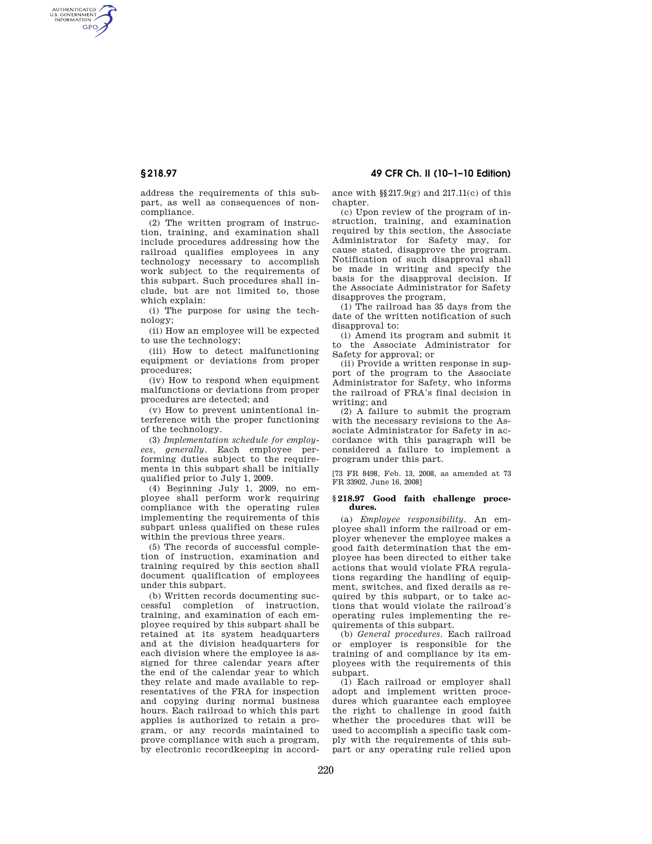AUTHENTICATED<br>U.S. GOVERNMENT<br>INFORMATION **GPO** 

**§ 218.97 49 CFR Ch. II (10–1–10 Edition)** 

address the requirements of this subpart, as well as consequences of noncompliance.

(2) The written program of instruction, training, and examination shall include procedures addressing how the railroad qualifies employees in any technology necessary to accomplish work subject to the requirements of this subpart. Such procedures shall include, but are not limited to, those which explain:

(i) The purpose for using the technology;

(ii) How an employee will be expected to use the technology;

(iii) How to detect malfunctioning equipment or deviations from proper procedures;

(iv) How to respond when equipment malfunctions or deviations from proper procedures are detected; and

(v) How to prevent unintentional interference with the proper functioning of the technology.

(3) *Implementation schedule for employees, generally.* Each employee performing duties subject to the requirements in this subpart shall be initially qualified prior to July 1, 2009.

(4) Beginning July 1, 2009, no employee shall perform work requiring compliance with the operating rules implementing the requirements of this subpart unless qualified on these rules within the previous three years.

(5) The records of successful completion of instruction, examination and training required by this section shall document qualification of employees under this subpart.

(b) Written records documenting successful completion of instruction, training, and examination of each employee required by this subpart shall be retained at its system headquarters and at the division headquarters for each division where the employee is assigned for three calendar years after the end of the calendar year to which they relate and made available to representatives of the FRA for inspection and copying during normal business hours. Each railroad to which this part applies is authorized to retain a program, or any records maintained to prove compliance with such a program, by electronic recordkeeping in accordance with  $\S$ 217.9(g) and 217.11(c) of this chapter.

(c) Upon review of the program of instruction, training, and examination required by this section, the Associate Administrator for Safety may, for cause stated, disapprove the program. Notification of such disapproval shall be made in writing and specify the basis for the disapproval decision. If the Associate Administrator for Safety disapproves the program,

(1) The railroad has 35 days from the date of the written notification of such disapproval to:

(i) Amend its program and submit it to the Associate Administrator for Safety for approval; or

(ii) Provide a written response in support of the program to the Associate Administrator for Safety, who informs the railroad of FRA's final decision in writing; and

(2) A failure to submit the program with the necessary revisions to the Associate Administrator for Safety in accordance with this paragraph will be considered a failure to implement a program under this part.

[73 FR 8498, Feb. 13, 2008, as amended at 73 FR 33902, June 16, 2008]

### **§ 218.97 Good faith challenge procedures.**

(a) *Employee responsibility.* An employee shall inform the railroad or employer whenever the employee makes a good faith determination that the employee has been directed to either take actions that would violate FRA regulations regarding the handling of equipment, switches, and fixed derails as required by this subpart, or to take actions that would violate the railroad's operating rules implementing the requirements of this subpart.

(b) *General procedures.* Each railroad or employer is responsible for the training of and compliance by its employees with the requirements of this subpart.

(1) Each railroad or employer shall adopt and implement written procedures which guarantee each employee the right to challenge in good faith whether the procedures that will be used to accomplish a specific task comply with the requirements of this subpart or any operating rule relied upon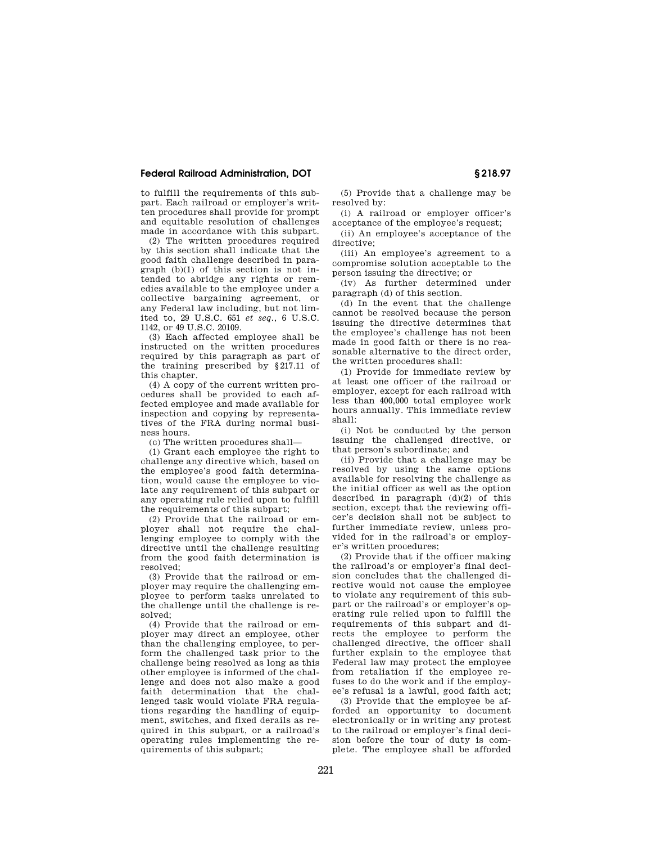## **Federal Railroad Administration, DOT § 218.97**

to fulfill the requirements of this subpart. Each railroad or employer's written procedures shall provide for prompt and equitable resolution of challenges made in accordance with this subpart.

(2) The written procedures required by this section shall indicate that the good faith challenge described in paragraph (b)(1) of this section is not intended to abridge any rights or remedies available to the employee under a collective bargaining agreement, or any Federal law including, but not limited to, 29 U.S.C. 651 *et seq.*, 6 U.S.C. 1142, or 49 U.S.C. 20109.

(3) Each affected employee shall be instructed on the written procedures required by this paragraph as part of the training prescribed by §217.11 of this chapter.

(4) A copy of the current written procedures shall be provided to each affected employee and made available for inspection and copying by representatives of the FRA during normal business hours.

(c) The written procedures shall—

(1) Grant each employee the right to challenge any directive which, based on the employee's good faith determination, would cause the employee to violate any requirement of this subpart or any operating rule relied upon to fulfill the requirements of this subpart;

(2) Provide that the railroad or employer shall not require the challenging employee to comply with the directive until the challenge resulting from the good faith determination is resolved;

(3) Provide that the railroad or employer may require the challenging employee to perform tasks unrelated to the challenge until the challenge is resolved;

(4) Provide that the railroad or employer may direct an employee, other than the challenging employee, to perform the challenged task prior to the challenge being resolved as long as this other employee is informed of the challenge and does not also make a good faith determination that the challenged task would violate FRA regulations regarding the handling of equipment, switches, and fixed derails as required in this subpart, or a railroad's operating rules implementing the requirements of this subpart;

(5) Provide that a challenge may be resolved by:

(i) A railroad or employer officer's acceptance of the employee's request;

(ii) An employee's acceptance of the directive;

(iii) An employee's agreement to a compromise solution acceptable to the person issuing the directive; or

(iv) As further determined under paragraph (d) of this section.

(d) In the event that the challenge cannot be resolved because the person issuing the directive determines that the employee's challenge has not been made in good faith or there is no reasonable alternative to the direct order, the written procedures shall:

(1) Provide for immediate review by at least one officer of the railroad or employer, except for each railroad with less than 400,000 total employee work hours annually. This immediate review shall:

(i) Not be conducted by the person issuing the challenged directive, or that person's subordinate; and

(ii) Provide that a challenge may be resolved by using the same options available for resolving the challenge as the initial officer as well as the option described in paragraph  $(d)(2)$  of this section, except that the reviewing officer's decision shall not be subject to further immediate review, unless provided for in the railroad's or employer's written procedures;

(2) Provide that if the officer making the railroad's or employer's final decision concludes that the challenged directive would not cause the employee to violate any requirement of this subpart or the railroad's or employer's operating rule relied upon to fulfill the requirements of this subpart and directs the employee to perform the challenged directive, the officer shall further explain to the employee that Federal law may protect the employee from retaliation if the employee refuses to do the work and if the employee's refusal is a lawful, good faith act;

(3) Provide that the employee be afforded an opportunity to document electronically or in writing any protest to the railroad or employer's final decision before the tour of duty is complete. The employee shall be afforded